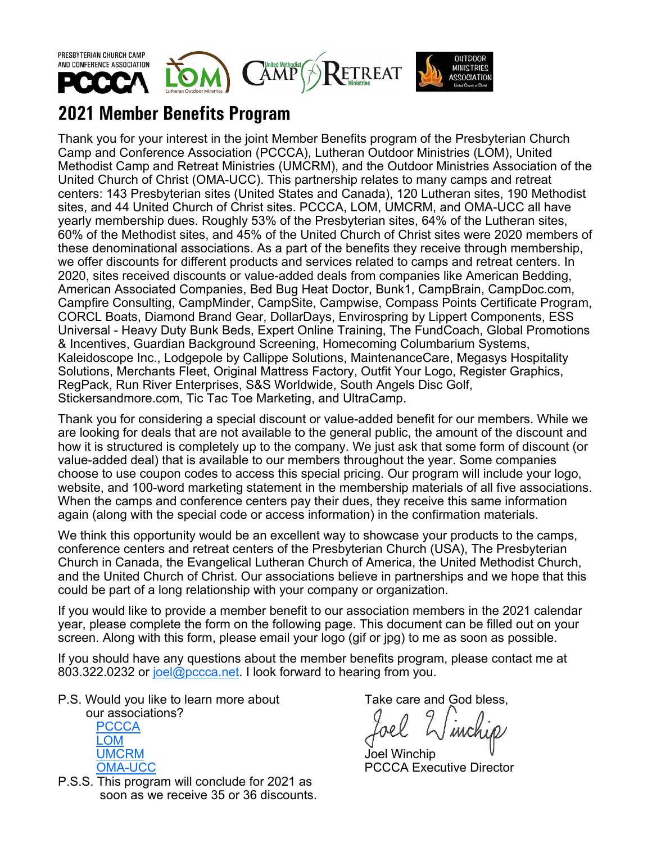

## **2021 Member Benefits Program**

Thank you for your interest in the joint Member Benefits program of the Presbyterian Church Camp and Conference Association (PCCCA), Lutheran Outdoor Ministries (LOM), United Methodist Camp and Retreat Ministries (UMCRM), and the Outdoor Ministries Association of the United Church of Christ (OMA-UCC). This partnership relates to many camps and retreat centers: 143 Presbyterian sites (United States and Canada), 120 Lutheran sites, 190 Methodist sites, and 44 United Church of Christ sites. PCCCA, LOM, UMCRM, and OMA-UCC all have yearly membership dues. Roughly 53% of the Presbyterian sites, 64% of the Lutheran sites, 60% of the Methodist sites, and 45% of the United Church of Christ sites were 2020 members of these denominational associations. As a part of the benefits they receive through membership, we offer discounts for different products and services related to camps and retreat centers. In 2020, sites received discounts or value-added deals from companies like American Bedding, American Associated Companies, Bed Bug Heat Doctor, Bunk1, CampBrain, CampDoc.com, Campfire Consulting, CampMinder, CampSite, Campwise, Compass Points Certificate Program, CORCL Boats, Diamond Brand Gear, DollarDays, Envirospring by Lippert Components, ESS Universal - Heavy Duty Bunk Beds, Expert Online Training, The FundCoach, Global Promotions & Incentives, Guardian Background Screening, Homecoming Columbarium Systems, Kaleidoscope Inc., Lodgepole by Callippe Solutions, MaintenanceCare, Megasys Hospitality Solutions, Merchants Fleet, Original Mattress Factory, Outfit Your Logo, Register Graphics, RegPack, Run River Enterprises, S&S Worldwide, South Angels Disc Golf, Stickersandmore.com, Tic Tac Toe Marketing, and UltraCamp.

Thank you for considering a special discount or value-added benefit for our members. While we are looking for deals that are not available to the general public, the amount of the discount and how it is structured is completely up to the company. We just ask that some form of discount (or value-added deal) that is available to our members throughout the year. Some companies choose to use coupon codes to access this special pricing. Our program will include your logo, website, and 100-word marketing statement in the membership materials of all five associations. When the camps and conference centers pay their dues, they receive this same information again (along with the special code or access information) in the confirmation materials.

We think this opportunity would be an excellent way to showcase your products to the camps, conference centers and retreat centers of the Presbyterian Church (USA), The Presbyterian Church in Canada, the Evangelical Lutheran Church of America, the United Methodist Church, and the United Church of Christ. Our associations believe in partnerships and we hope that this could be part of a long relationship with your company or organization.

If you would like to provide a member benefit to our association members in the 2021 calendar year, please complete the form on the following page. This document can be filled out on your screen. Along with this form, please email your logo (gif or jpg) to me as soon as possible.

If you should have any questions about the member benefits program, please contact me at 803.322.0232 or [joel@pccca.net.](mailto:joel@pccca.net) I look forward to hearing from you.

P.S. Would you like to learn more about Take care and God bless,



P.S.S. This program will conclude for 2021 as soon as we receive 35 or 36 discounts.

[OMA](https://www.omaucc.org/)-UCC PCCCA Executive Director